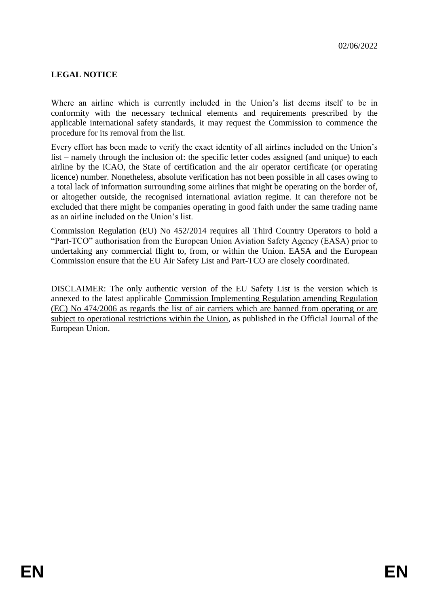# **LEGAL NOTICE**

Where an airline which is currently included in the Union's list deems itself to be in conformity with the necessary technical elements and requirements prescribed by the applicable international safety standards, it may request the Commission to commence the procedure for its removal from the list.

Every effort has been made to verify the exact identity of all airlines included on the Union's list – namely through the inclusion of: the specific letter codes assigned (and unique) to each airline by the ICAO, the State of certification and the air operator certificate (or operating licence) number. Nonetheless, absolute verification has not been possible in all cases owing to a total lack of information surrounding some airlines that might be operating on the border of, or altogether outside, the recognised international aviation regime. It can therefore not be excluded that there might be companies operating in good faith under the same trading name as an airline included on the Union's list.

Commission Regulation (EU) No 452/2014 requires all Third Country Operators to hold a "Part-TCO" authorisation from the European Union Aviation Safety Agency (EASA) prior to undertaking any commercial flight to, from, or within the Union. EASA and the European Commission ensure that the EU Air Safety List and Part-TCO are closely coordinated.

DISCLAIMER: The only authentic version of the EU Safety List is the version which is annexed to the latest applicable Commission Implementing Regulation amending Regulation (EC) No 474/2006 as regards the list of air carriers which are banned from operating or are subject to operational restrictions within the Union, as published in the Official Journal of the European Union.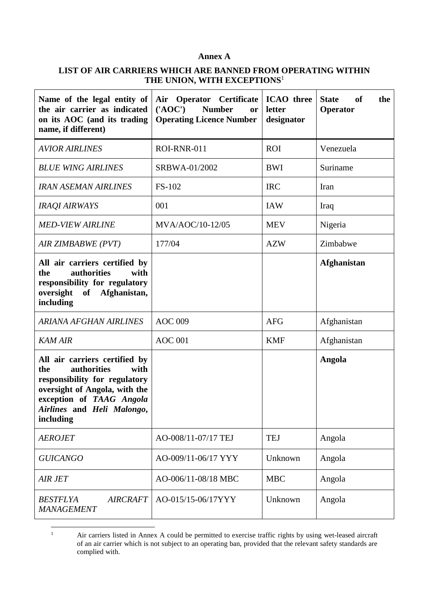### **Annex A**

### **LIST OF AIR CARRIERS WHICH ARE BANNED FROM OPERATING WITHIN THE UNION, WITH EXCEPTIONS**<sup>1</sup>

| Name of the legal entity of<br>the air carrier as indicated<br>on its AOC (and its trading<br>name, if different)                                                                                    | Air Operator Certificate<br>$(^{\prime}AOC^{\prime})$<br><b>Number</b><br>or<br><b>Operating Licence Number</b> | <b>State</b><br>of<br>the<br>Operator |                    |
|------------------------------------------------------------------------------------------------------------------------------------------------------------------------------------------------------|-----------------------------------------------------------------------------------------------------------------|---------------------------------------|--------------------|
| <b>AVIOR AIRLINES</b>                                                                                                                                                                                | ROI-RNR-011                                                                                                     | <b>ROI</b>                            | Venezuela          |
| <b>BLUE WING AIRLINES</b>                                                                                                                                                                            | SRBWA-01/2002                                                                                                   | <b>BWI</b>                            | Suriname           |
| <b>IRAN ASEMAN AIRLINES</b>                                                                                                                                                                          | FS-102                                                                                                          | <b>IRC</b>                            | Iran               |
| <b>IRAQI AIRWAYS</b>                                                                                                                                                                                 | 001                                                                                                             | <b>IAW</b>                            | Iraq               |
| <b>MED-VIEW AIRLINE</b>                                                                                                                                                                              | MVA/AOC/10-12/05                                                                                                | <b>MEV</b>                            | Nigeria            |
| AIR ZIMBABWE (PVT)                                                                                                                                                                                   | 177/04                                                                                                          | <b>AZW</b>                            | Zimbabwe           |
| All air carriers certified by<br>authorities<br>the<br>with<br>responsibility for regulatory<br>of Afghanistan,<br>oversight<br>including                                                            |                                                                                                                 |                                       | <b>Afghanistan</b> |
| <b>ARIANA AFGHAN AIRLINES</b>                                                                                                                                                                        | <b>AOC 009</b>                                                                                                  | <b>AFG</b>                            | Afghanistan        |
| <b>KAM AIR</b>                                                                                                                                                                                       | <b>AOC 001</b>                                                                                                  | <b>KMF</b>                            | Afghanistan        |
| All air carriers certified by<br>with<br>authorities<br>the<br>responsibility for regulatory<br>oversight of Angola, with the<br>exception of TAAG Angola<br>Airlines and Heli Malongo,<br>including |                                                                                                                 |                                       | <b>Angola</b>      |
| <b>AEROJET</b>                                                                                                                                                                                       | AO-008/11-07/17 TEJ                                                                                             | <b>TEJ</b>                            | Angola             |
| <b>GUICANGO</b>                                                                                                                                                                                      | AO-009/11-06/17 YYY                                                                                             | Unknown                               | Angola             |
| <b>AIR JET</b>                                                                                                                                                                                       | AO-006/11-08/18 MBC                                                                                             | <b>MBC</b>                            | Angola             |
| <b>AIRCRAFT</b><br><b>BESTFLYA</b><br><b>MANAGEMENT</b>                                                                                                                                              | AO-015/15-06/17YYY<br>Unknown                                                                                   |                                       | Angola             |

 $\mathbf{1}$ Air carriers listed in Annex A could be permitted to exercise traffic rights by using wet-leased aircraft of an air carrier which is not subject to an operating ban, provided that the relevant safety standards are complied with.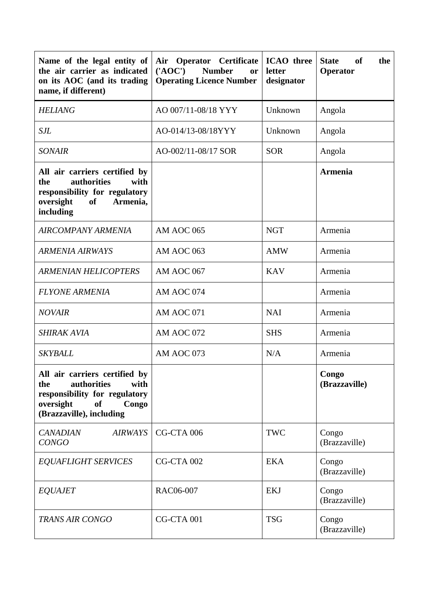| Name of the legal entity of<br>the air carrier as indicated<br>on its AOC (and its trading<br>name, if different)                                           | <b>ICAO</b> three<br>Air Operator Certificate<br>$(^{\prime}AOC^{\prime})$<br><b>Number</b><br>letter<br><b>or</b><br><b>Operating Licence Number</b><br>designator |            | <b>State</b><br>of<br>the<br>Operator |  |
|-------------------------------------------------------------------------------------------------------------------------------------------------------------|---------------------------------------------------------------------------------------------------------------------------------------------------------------------|------------|---------------------------------------|--|
| <b>HELIANG</b>                                                                                                                                              | AO 007/11-08/18 YYY                                                                                                                                                 | Unknown    | Angola                                |  |
| <b>SJL</b>                                                                                                                                                  | AO-014/13-08/18YYY                                                                                                                                                  | Unknown    | Angola                                |  |
| <b>SONAIR</b>                                                                                                                                               | AO-002/11-08/17 SOR                                                                                                                                                 | <b>SOR</b> | Angola                                |  |
| All air carriers certified by<br>authorities<br>with<br>the<br>responsibility for regulatory<br>oversight<br>of<br>Armenia,<br>including                    |                                                                                                                                                                     |            | Armenia                               |  |
| <b>AIRCOMPANY ARMENIA</b>                                                                                                                                   | AM AOC 065                                                                                                                                                          | <b>NGT</b> | Armenia                               |  |
| <b>ARMENIA AIRWAYS</b>                                                                                                                                      | AM AOC 063                                                                                                                                                          | <b>AMW</b> | Armenia                               |  |
| <b>ARMENIAN HELICOPTERS</b>                                                                                                                                 | AM AOC 067                                                                                                                                                          | <b>KAV</b> | Armenia                               |  |
| <b>FLYONE ARMENIA</b>                                                                                                                                       | AM AOC 074                                                                                                                                                          |            | Armenia                               |  |
| <b>NOVAIR</b>                                                                                                                                               | AM AOC 071                                                                                                                                                          | <b>NAI</b> | Armenia                               |  |
| <b>SHIRAK AVIA</b>                                                                                                                                          | AM AOC 072                                                                                                                                                          | <b>SHS</b> | Armenia                               |  |
| <b>SKYBALL</b>                                                                                                                                              | AM AOC 073                                                                                                                                                          | N/A        | Armenia                               |  |
| All air carriers certified by<br>authorities<br>with<br>the<br>responsibility for regulatory<br>oversight<br><b>of</b><br>Congo<br>(Brazzaville), including |                                                                                                                                                                     |            | Congo<br>(Brazzaville)                |  |
| <b>CANADIAN</b><br><b>AIRWAYS</b><br><b>CONGO</b>                                                                                                           | CG-CTA 006                                                                                                                                                          | <b>TWC</b> | Congo<br>(Brazzaville)                |  |
| <b>EQUAFLIGHT SERVICES</b>                                                                                                                                  | CG-CTA 002<br><b>EKA</b>                                                                                                                                            |            | Congo<br>(Brazzaville)                |  |
| <b>EQUAJET</b>                                                                                                                                              | RAC06-007<br><b>EKJ</b>                                                                                                                                             |            | Congo<br>(Brazzaville)                |  |
| <b>TRANS AIR CONGO</b>                                                                                                                                      | CG-CTA 001                                                                                                                                                          | <b>TSG</b> | Congo<br>(Brazzaville)                |  |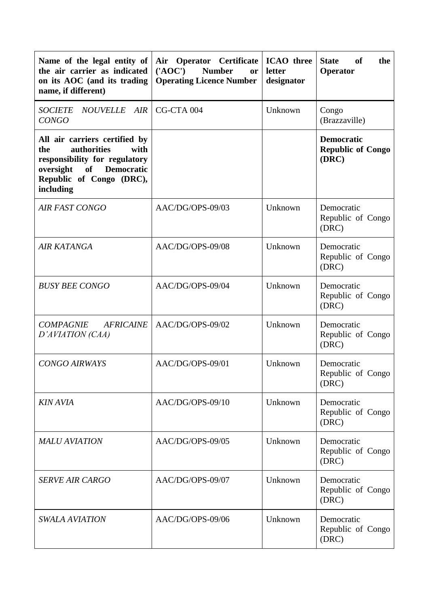| Name of the legal entity of<br>the air carrier as indicated<br>on its AOC (and its trading<br>name, if different)                                                   | <b>ICAO</b> three<br>Air Operator Certificate<br>$(^{\prime}AOC^{\prime})$<br><b>Number</b><br>letter<br><b>or</b><br><b>Operating Licence Number</b><br>designator |                                                     | <b>State</b><br><b>of</b><br>the<br>Operator           |
|---------------------------------------------------------------------------------------------------------------------------------------------------------------------|---------------------------------------------------------------------------------------------------------------------------------------------------------------------|-----------------------------------------------------|--------------------------------------------------------|
| <b>NOUVELLE</b><br><b>SOCIETE</b><br>AIR<br><b>CONGO</b>                                                                                                            | CG-CTA 004                                                                                                                                                          | Unknown                                             | Congo<br>(Brazzaville)                                 |
| All air carriers certified by<br>authorities<br>with<br>the<br>responsibility for regulatory<br>of Democratic<br>oversight<br>Republic of Congo (DRC),<br>including |                                                                                                                                                                     |                                                     | <b>Democratic</b><br><b>Republic of Congo</b><br>(DRC) |
| <b>AIR FAST CONGO</b>                                                                                                                                               | AAC/DG/OPS-09/03                                                                                                                                                    | Unknown                                             | Democratic<br>Republic of Congo<br>(DRC)               |
| <b>AIR KATANGA</b>                                                                                                                                                  | AAC/DG/OPS-09/08                                                                                                                                                    | Unknown                                             | Democratic<br>Republic of Congo<br>(DRC)               |
| <b>BUSY BEE CONGO</b>                                                                                                                                               | AAC/DG/OPS-09/04                                                                                                                                                    | Unknown                                             | Democratic<br>Republic of Congo<br>(DRC)               |
| <b>COMPAGNIE</b><br><b>AFRICAINE</b><br>D'AVIATION (CAA)                                                                                                            | AAC/DG/OPS-09/02                                                                                                                                                    | Unknown                                             | Democratic<br>Republic of Congo<br>(DRC)               |
| <b>CONGO AIRWAYS</b>                                                                                                                                                | AAC/DG/OPS-09/01                                                                                                                                                    | Unknown                                             | Democratic<br>Republic of Congo<br>(DRC)               |
| <b>KIN AVIA</b>                                                                                                                                                     | AAC/DG/OPS-09/10                                                                                                                                                    | Unknown                                             | Democratic<br>Republic of Congo<br>(DRC)               |
| <b>MALU AVIATION</b>                                                                                                                                                | AAC/DG/OPS-09/05                                                                                                                                                    | Unknown<br>Democratic<br>Republic of Congo<br>(DRC) |                                                        |
| <b>SERVE AIR CARGO</b>                                                                                                                                              | AAC/DG/OPS-09/07<br>Unknown                                                                                                                                         |                                                     | Democratic<br>Republic of Congo<br>(DRC)               |
| <b>SWALA AVIATION</b>                                                                                                                                               | AAC/DG/OPS-09/06                                                                                                                                                    | Unknown                                             | Democratic<br>Republic of Congo<br>(DRC)               |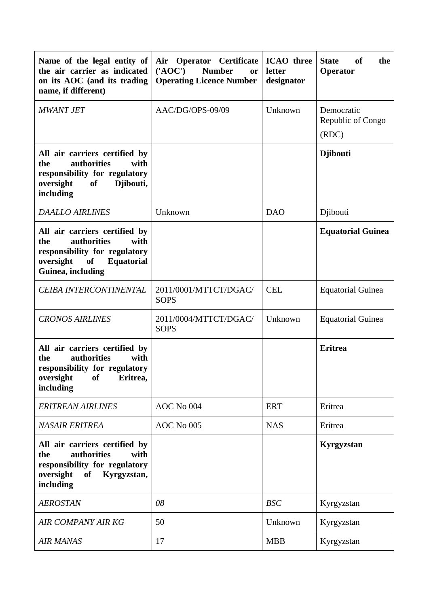| Name of the legal entity of<br>the air carrier as indicated<br>on its AOC (and its trading<br>name, if different)                                                | <b>ICAO</b> three<br>Air Operator Certificate<br>$(^{\prime}AOC^{\prime})$<br><b>Number</b><br>letter<br><b>or</b><br><b>Operating Licence Number</b><br>designator |            | <b>State</b><br>of<br>the<br>Operator    |  |
|------------------------------------------------------------------------------------------------------------------------------------------------------------------|---------------------------------------------------------------------------------------------------------------------------------------------------------------------|------------|------------------------------------------|--|
| <b>MWANT JET</b>                                                                                                                                                 | AAC/DG/OPS-09/09<br>Unknown                                                                                                                                         |            | Democratic<br>Republic of Congo<br>(RDC) |  |
| All air carriers certified by<br>authorities<br>the<br>with<br>responsibility for regulatory<br>oversight<br>of<br>Djibouti,<br>including                        |                                                                                                                                                                     |            | <b>D</b> jibouti                         |  |
| <b>DAALLO AIRLINES</b>                                                                                                                                           | Unknown                                                                                                                                                             | <b>DAO</b> | Djibouti                                 |  |
| All air carriers certified by<br>the<br><b>authorities</b><br>with<br>responsibility for regulatory<br>oversight<br>of<br><b>Equatorial</b><br>Guinea, including |                                                                                                                                                                     |            | <b>Equatorial Guinea</b>                 |  |
| CEIBA INTERCONTINENTAL                                                                                                                                           | <b>CEL</b><br>2011/0001/MTTCT/DGAC/<br><b>SOPS</b>                                                                                                                  |            | <b>Equatorial Guinea</b>                 |  |
| <b>CRONOS AIRLINES</b>                                                                                                                                           | 2011/0004/MTTCT/DGAC/<br>Unknown<br><b>SOPS</b>                                                                                                                     |            | <b>Equatorial Guinea</b>                 |  |
| All air carriers certified by<br>with<br><b>authorities</b><br>the<br>responsibility for regulatory<br>oversight<br><b>of</b><br>Eritrea,<br>including           |                                                                                                                                                                     |            | <b>Eritrea</b>                           |  |
| <b>ERITREAN AIRLINES</b>                                                                                                                                         | AOC No 004                                                                                                                                                          | <b>ERT</b> | Eritrea                                  |  |
| <b>NASAIR ERITREA</b>                                                                                                                                            | AOC No 005                                                                                                                                                          | <b>NAS</b> | Eritrea                                  |  |
| All air carriers certified by<br>authorities<br>the<br>with<br>responsibility for regulatory<br>oversight<br>Kyrgyzstan,<br>of<br>including                      |                                                                                                                                                                     |            | Kyrgyzstan                               |  |
| <b>AEROSTAN</b>                                                                                                                                                  | 08                                                                                                                                                                  | <b>BSC</b> | Kyrgyzstan                               |  |
| <b>AIR COMPANY AIR KG</b>                                                                                                                                        | 50                                                                                                                                                                  | Unknown    | Kyrgyzstan                               |  |
| <b>AIR MANAS</b>                                                                                                                                                 | 17                                                                                                                                                                  | <b>MBB</b> | Kyrgyzstan                               |  |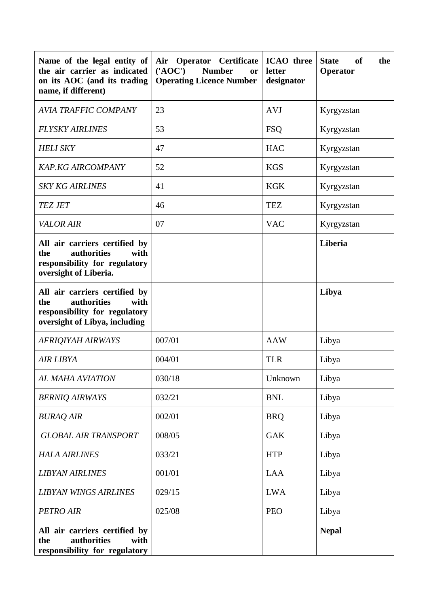| Name of the legal entity of<br>the air carrier as indicated<br>on its AOC (and its trading<br>name, if different)             | <b>ICAO</b> three<br>Air Operator Certificate<br>$(^{\prime}AOC^{\prime})$<br><b>Number</b><br>letter<br>or<br><b>Operating Licence Number</b><br>designator |            | <b>State</b><br>of<br>the<br>Operator |
|-------------------------------------------------------------------------------------------------------------------------------|--------------------------------------------------------------------------------------------------------------------------------------------------------------|------------|---------------------------------------|
| <b>AVIA TRAFFIC COMPANY</b>                                                                                                   | 23                                                                                                                                                           | <b>AVJ</b> | Kyrgyzstan                            |
| <b>FLYSKY AIRLINES</b>                                                                                                        | 53                                                                                                                                                           | <b>FSQ</b> | Kyrgyzstan                            |
| <b>HELI SKY</b>                                                                                                               | 47                                                                                                                                                           | <b>HAC</b> | Kyrgyzstan                            |
| <b>KAP.KG AIRCOMPANY</b>                                                                                                      | 52                                                                                                                                                           | <b>KGS</b> | Kyrgyzstan                            |
| <i><b>SKY KG AIRLINES</b></i>                                                                                                 | 41                                                                                                                                                           | <b>KGK</b> | Kyrgyzstan                            |
| <b>TEZ JET</b>                                                                                                                | 46                                                                                                                                                           | <b>TEZ</b> | Kyrgyzstan                            |
| <b>VALOR AIR</b>                                                                                                              | 07                                                                                                                                                           | <b>VAC</b> | Kyrgyzstan                            |
| All air carriers certified by<br>authorities<br>with<br>the<br>responsibility for regulatory<br>oversight of Liberia.         |                                                                                                                                                              |            | Liberia                               |
| All air carriers certified by<br>authorities<br>the<br>with<br>responsibility for regulatory<br>oversight of Libya, including |                                                                                                                                                              |            | Libya                                 |
| <b>AFRIQIYAH AIRWAYS</b>                                                                                                      | 007/01                                                                                                                                                       | <b>AAW</b> | Libya                                 |
| <b>AIR LIBYA</b>                                                                                                              | 004/01                                                                                                                                                       | <b>TLR</b> | Libya                                 |
| AL MAHA AVIATION                                                                                                              | 030/18                                                                                                                                                       | Unknown    | Libya                                 |
| <b>BERNIQ AIRWAYS</b>                                                                                                         | 032/21                                                                                                                                                       | <b>BNL</b> | Libya                                 |
| <b>BURAQ AIR</b>                                                                                                              | 002/01                                                                                                                                                       | <b>BRO</b> | Libya                                 |
| <b>GLOBAL AIR TRANSPORT</b>                                                                                                   | 008/05                                                                                                                                                       | <b>GAK</b> | Libya                                 |
| <b>HALA AIRLINES</b>                                                                                                          | 033/21                                                                                                                                                       | <b>HTP</b> | Libya                                 |
| <b>LIBYAN AIRLINES</b>                                                                                                        | 001/01                                                                                                                                                       | LAA        | Libya                                 |
| <b>LIBYAN WINGS AIRLINES</b>                                                                                                  | 029/15                                                                                                                                                       | <b>LWA</b> | Libya                                 |
| <b>PETRO AIR</b>                                                                                                              | 025/08                                                                                                                                                       | <b>PEO</b> | Libya                                 |
| All air carriers certified by<br>authorities<br>the<br>with<br>responsibility for regulatory                                  |                                                                                                                                                              |            | <b>Nepal</b>                          |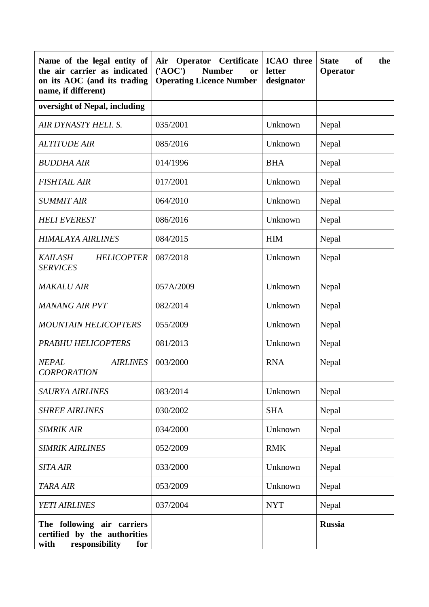| Name of the legal entity of<br>the air carrier as indicated<br>on its AOC (and its trading<br>name, if different) | <b>Operator</b> Certificate<br><b>ICAO</b> three<br>Air<br>$(^{\prime}AOC^{\prime})$<br><b>Number</b><br>letter<br>or<br><b>Operating Licence Number</b><br>designator |            | <b>State</b><br><b>of</b><br>the<br>Operator |
|-------------------------------------------------------------------------------------------------------------------|------------------------------------------------------------------------------------------------------------------------------------------------------------------------|------------|----------------------------------------------|
| oversight of Nepal, including                                                                                     |                                                                                                                                                                        |            |                                              |
| AIR DYNASTY HELI. S.                                                                                              | 035/2001                                                                                                                                                               | Unknown    | Nepal                                        |
| <i><b>ALTITUDE AIR</b></i>                                                                                        | 085/2016                                                                                                                                                               | Unknown    | Nepal                                        |
| <b>BUDDHA AIR</b>                                                                                                 | 014/1996                                                                                                                                                               | <b>BHA</b> | Nepal                                        |
| <b>FISHTAIL AIR</b>                                                                                               | 017/2001                                                                                                                                                               | Unknown    | Nepal                                        |
| <b>SUMMIT AIR</b>                                                                                                 | 064/2010                                                                                                                                                               | Unknown    | Nepal                                        |
| <b>HELI EVEREST</b>                                                                                               | 086/2016                                                                                                                                                               | Unknown    | Nepal                                        |
| HIMALAYA AIRLINES                                                                                                 | 084/2015                                                                                                                                                               | <b>HIM</b> | Nepal                                        |
| <b>KAILASH</b><br><b>HELICOPTER</b><br><b>SERVICES</b>                                                            | 087/2018                                                                                                                                                               | Unknown    | Nepal                                        |
| <b>MAKALU AIR</b>                                                                                                 | 057A/2009                                                                                                                                                              | Unknown    | Nepal                                        |
| <b>MANANG AIR PVT</b>                                                                                             | 082/2014                                                                                                                                                               | Unknown    | Nepal                                        |
| <b>MOUNTAIN HELICOPTERS</b>                                                                                       | 055/2009                                                                                                                                                               | Unknown    | Nepal                                        |
| <b>PRABHU HELICOPTERS</b>                                                                                         | 081/2013                                                                                                                                                               | Unknown    | Nepal                                        |
| <b>AIRLINES</b><br><b>NEPAL</b><br><b>CORPORATION</b>                                                             | 003/2000                                                                                                                                                               | <b>RNA</b> | Nepal                                        |
| <b>SAURYA AIRLINES</b>                                                                                            | 083/2014                                                                                                                                                               | Unknown    | Nepal                                        |
| <b>SHREE AIRLINES</b>                                                                                             | 030/2002                                                                                                                                                               | <b>SHA</b> | Nepal                                        |
| <b>SIMRIK AIR</b>                                                                                                 | 034/2000                                                                                                                                                               | Unknown    | Nepal                                        |
| <b>SIMRIK AIRLINES</b>                                                                                            | 052/2009                                                                                                                                                               | <b>RMK</b> | Nepal                                        |
| <b>SITA AIR</b>                                                                                                   | 033/2000                                                                                                                                                               | Unknown    | Nepal                                        |
| <b>TARA AIR</b>                                                                                                   | 053/2009                                                                                                                                                               | Unknown    | Nepal                                        |
| YETI AIRLINES                                                                                                     | 037/2004                                                                                                                                                               | <b>NYT</b> | Nepal                                        |
| The following air carriers<br>certified by the authorities<br>responsibility<br>with<br>for                       |                                                                                                                                                                        |            | <b>Russia</b>                                |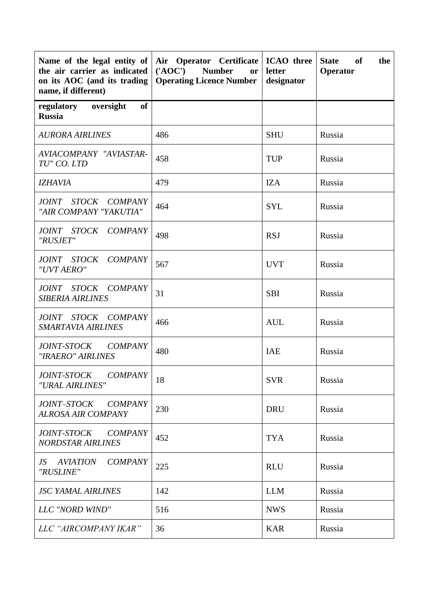| Name of the legal entity of<br>the air carrier as indicated<br>on its AOC (and its trading<br>name, if different) | Air Operator Certificate<br>$(^{\prime}AOC^{\prime})$<br><b>Number</b><br><b>or</b><br><b>Operating Licence Number</b> | <b>ICAO</b> three<br>letter<br>designator | <b>State</b><br>of<br>the<br>Operator |  |
|-------------------------------------------------------------------------------------------------------------------|------------------------------------------------------------------------------------------------------------------------|-------------------------------------------|---------------------------------------|--|
| of<br>regulatory<br>oversight<br><b>Russia</b>                                                                    |                                                                                                                        |                                           |                                       |  |
| <b>AURORA AIRLINES</b>                                                                                            | 486                                                                                                                    | <b>SHU</b>                                | Russia                                |  |
| AVIACOMPANY "AVIASTAR-<br>TU" CO. LTD                                                                             | 458                                                                                                                    | <b>TUP</b>                                | Russia                                |  |
| <b>IZHAVIA</b>                                                                                                    | 479                                                                                                                    | IZA                                       | Russia                                |  |
| JOINT STOCK COMPANY<br>"AIR COMPANY "YAKUTIA"                                                                     | 464                                                                                                                    | <b>SYL</b>                                | Russia                                |  |
| JOINT STOCK COMPANY<br>"RUSJET"                                                                                   | 498                                                                                                                    | <b>RSJ</b>                                | Russia                                |  |
| JOINT STOCK COMPANY<br>"UVT AERO"                                                                                 | 567                                                                                                                    | <b>UVT</b>                                | Russia                                |  |
| JOINT STOCK COMPANY<br><b>SIBERIA AIRLINES</b>                                                                    | 31                                                                                                                     | <b>SBI</b>                                | Russia                                |  |
| JOINT STOCK COMPANY<br>SMARTAVIA AIRLINES                                                                         | 466                                                                                                                    | <b>AUL</b>                                | Russia                                |  |
| <i>JOINT-STOCK</i><br><b>COMPANY</b><br>"IRAERO" AIRLINES                                                         | 480                                                                                                                    | <b>IAE</b>                                | Russia                                |  |
| JOINT-STOCK COMPANY<br>"URAL AIRLINES"                                                                            | 18                                                                                                                     | <b>SVR</b>                                | Russia                                |  |
| JOINT-STOCK<br><b>COMPANY</b><br><b>ALROSA AIR COMPANY</b>                                                        | 230                                                                                                                    | <b>DRU</b>                                | Russia                                |  |
| <i>JOINT-STOCK</i><br><b>COMPANY</b><br><b>NORDSTAR AIRLINES</b>                                                  | 452                                                                                                                    | <b>TYA</b>                                | Russia                                |  |
| <b>COMPANY</b><br>JS<br><i><b>AVIATION</b></i><br>"RUSLINE"                                                       | 225<br><b>RLU</b>                                                                                                      |                                           | Russia                                |  |
| <b>JSC YAMAL AIRLINES</b>                                                                                         | 142                                                                                                                    | <b>LLM</b>                                | Russia                                |  |
| LLC "NORD WIND"                                                                                                   | 516                                                                                                                    | <b>NWS</b>                                | Russia                                |  |
| LLC "AIRCOMPANY IKAR"                                                                                             | 36                                                                                                                     | <b>KAR</b>                                | Russia                                |  |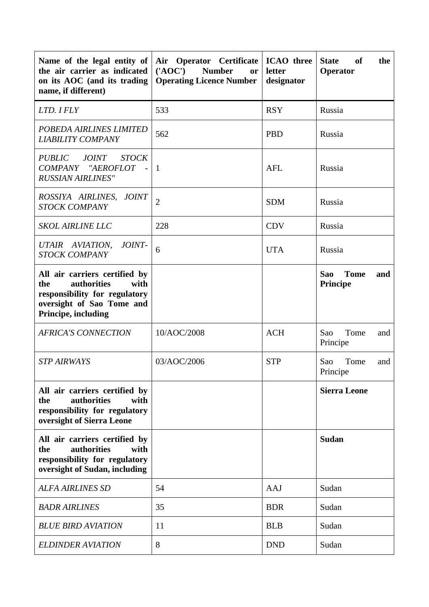| Name of the legal entity of<br>the air carrier as indicated<br>on its AOC (and its trading<br>name, if different)                                | <b>ICAO</b> three<br>Air Operator Certificate<br>$(^{\prime}AOC^{\prime})$<br><b>Number</b><br>letter<br><b>or</b><br><b>Operating Licence Number</b><br>designator |            | <b>State</b><br>of<br>the<br>Operator        |  |
|--------------------------------------------------------------------------------------------------------------------------------------------------|---------------------------------------------------------------------------------------------------------------------------------------------------------------------|------------|----------------------------------------------|--|
| LTD. I FLY                                                                                                                                       | 533                                                                                                                                                                 | <b>RSY</b> | Russia                                       |  |
| POBEDA AIRLINES LIMITED<br><b>LIABILITY COMPANY</b>                                                                                              | 562                                                                                                                                                                 | <b>PBD</b> | Russia                                       |  |
| <b>PUBLIC</b><br><i>JOINT</i><br><b>STOCK</b><br>COMPANY "AEROFLOT<br>$\sim$<br><b>RUSSIAN AIRLINES"</b>                                         | $\mathbf{1}$                                                                                                                                                        | <b>AFL</b> | Russia                                       |  |
| ROSSIYA AIRLINES,<br><i>JOINT</i><br><b>STOCK COMPANY</b>                                                                                        | $\overline{2}$                                                                                                                                                      | <b>SDM</b> | Russia                                       |  |
| <b>SKOL AIRLINE LLC</b>                                                                                                                          | 228                                                                                                                                                                 | <b>CDV</b> | Russia                                       |  |
| UTAIR AVIATION,<br>JOINT-<br><b>STOCK COMPANY</b>                                                                                                | 6                                                                                                                                                                   | <b>UTA</b> | Russia                                       |  |
| All air carriers certified by<br>authorities<br>with<br>the<br>responsibility for regulatory<br>oversight of Sao Tome and<br>Principe, including |                                                                                                                                                                     |            | Sao<br><b>Tome</b><br>and<br><b>Principe</b> |  |
| <b>AFRICA'S CONNECTION</b>                                                                                                                       | 10/AOC/2008                                                                                                                                                         | <b>ACH</b> | Tome<br>Sao<br>and<br>Principe               |  |
| <b>STP AIRWAYS</b>                                                                                                                               | 03/AOC/2006                                                                                                                                                         | <b>STP</b> | Tome<br>Sao<br>and<br>Principe               |  |
| All air carriers certified by<br>authorities<br>with<br>the<br>responsibility for regulatory<br>oversight of Sierra Leone                        |                                                                                                                                                                     |            | <b>Sierra Leone</b>                          |  |
| All air carriers certified by<br>authorities<br>the<br>with<br>responsibility for regulatory<br>oversight of Sudan, including                    |                                                                                                                                                                     |            | <b>Sudan</b>                                 |  |
| <b>ALFA AIRLINES SD</b>                                                                                                                          | 54                                                                                                                                                                  | AAJ        | Sudan                                        |  |
| <b>BADR AIRLINES</b>                                                                                                                             | 35                                                                                                                                                                  | <b>BDR</b> | Sudan                                        |  |
| <b>BLUE BIRD AVIATION</b>                                                                                                                        | 11                                                                                                                                                                  | <b>BLB</b> | Sudan                                        |  |
| <b>ELDINDER AVIATION</b>                                                                                                                         | 8                                                                                                                                                                   | <b>DND</b> | Sudan                                        |  |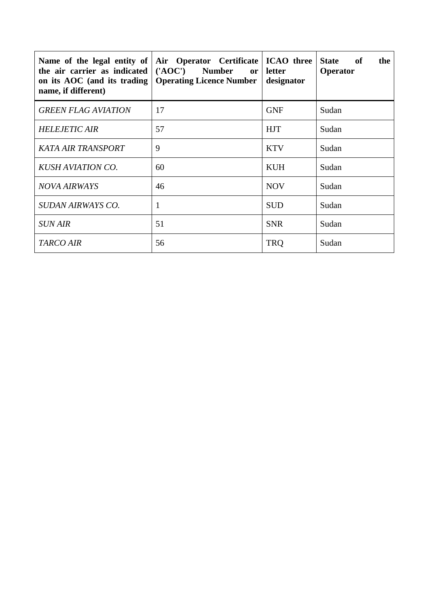| Name of the legal entity of<br>the air carrier as indicated<br>on its $AOC$ (and its trading $\vert$<br>name, if different) | Air Operator Certificate<br>('AOC') Number<br>or<br><b>Operating Licence Number</b> | <b>ICAO</b> three<br>letter<br>designator | <b>State</b><br>the<br>of<br>Operator |
|-----------------------------------------------------------------------------------------------------------------------------|-------------------------------------------------------------------------------------|-------------------------------------------|---------------------------------------|
| <b>GREEN FLAG AVIATION</b>                                                                                                  | 17                                                                                  | <b>GNF</b>                                | Sudan                                 |
| <b>HELEJETIC AIR</b>                                                                                                        | 57                                                                                  | <b>HJT</b>                                | Sudan                                 |
| <b>KATA AIR TRANSPORT</b>                                                                                                   | 9                                                                                   | <b>KTV</b>                                | Sudan                                 |
| <b>KUSH AVIATION CO.</b>                                                                                                    | 60                                                                                  | <b>KUH</b>                                | Sudan                                 |
| <b>NOVA AIRWAYS</b>                                                                                                         | 46                                                                                  | <b>NOV</b>                                | Sudan                                 |
| SUDAN AIRWAYS CO.                                                                                                           | 1                                                                                   | <b>SUD</b>                                | Sudan                                 |
| <b>SUN AIR</b>                                                                                                              | 51                                                                                  | <b>SNR</b>                                | Sudan                                 |
| <b>TARCO AIR</b>                                                                                                            | 56                                                                                  | <b>TRQ</b>                                | Sudan                                 |